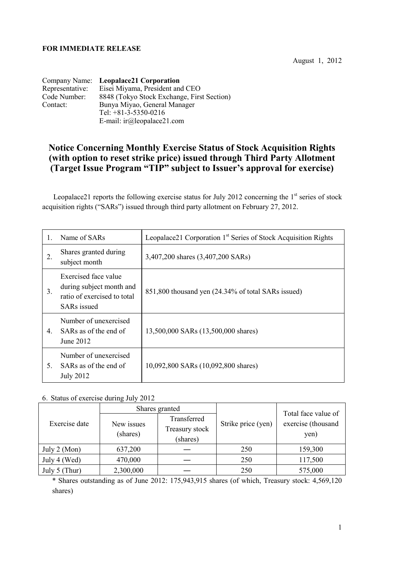## **FOR IMMEDIATE RELEASE**

August 1, 2012

|                 | Company Name: Leopalace21 Corporation      |
|-----------------|--------------------------------------------|
| Representative: | Eisei Miyama, President and CEO            |
| Code Number:    | 8848 (Tokyo Stock Exchange, First Section) |
| Contact:        | Bunya Miyao, General Manager               |
|                 | Tel: $+81-3-5350-0216$                     |
|                 | E-mail: $ir(\omega)$ leopalace21.com       |

## **Notice Concerning Monthly Exercise Status of Stock Acquisition Rights (with option to reset strike price) issued through Third Party Allotment (Target Issue Program "TIP" subject to Issuer's approval for exercise)**

Leopalace21 reports the following exercise status for July 2012 concerning the  $1<sup>st</sup>$  series of stock acquisition rights ("SARs") issued through third party allotment on February 27, 2012.

| 1. | Name of SARs                                                                                          | Leopalace21 Corporation 1 <sup>st</sup> Series of Stock Acquisition Rights |  |
|----|-------------------------------------------------------------------------------------------------------|----------------------------------------------------------------------------|--|
| 2. | Shares granted during<br>subject month                                                                | 3,407,200 shares (3,407,200 SARs)                                          |  |
| 3. | Exercised face value<br>during subject month and<br>ratio of exercised to total<br><b>SARs</b> issued | 851,800 thousand yen (24.34% of total SARs issued)                         |  |
| 4. | Number of unexercised<br>SARs as of the end of<br>June 2012                                           | 13,500,000 SARs (13,500,000 shares)                                        |  |
| 5. | Number of unexercised<br>SARs as of the end of<br><b>July 2012</b>                                    | 10,092,800 SARs (10,092,800 shares)                                        |  |

## 6.Status of exercise during July 2012

|                        | Shares granted         |                                           |                    | Total face value of        |
|------------------------|------------------------|-------------------------------------------|--------------------|----------------------------|
| Exercise date          | New issues<br>(shares) | Transferred<br>Treasury stock<br>(shares) | Strike price (yen) | exercise (thousand<br>yen) |
| July $2 \text{ (Mon)}$ | 637,200                |                                           | 250                | 159,300                    |
| July 4 (Wed)           | 470,000                |                                           | 250                | 117,500                    |
| July 5 (Thur)          | 2,300,000              |                                           | 250                | 575,000                    |

\* Shares outstanding as of June 2012: 175,943,915 shares (of which, Treasury stock: 4,569,120 shares)